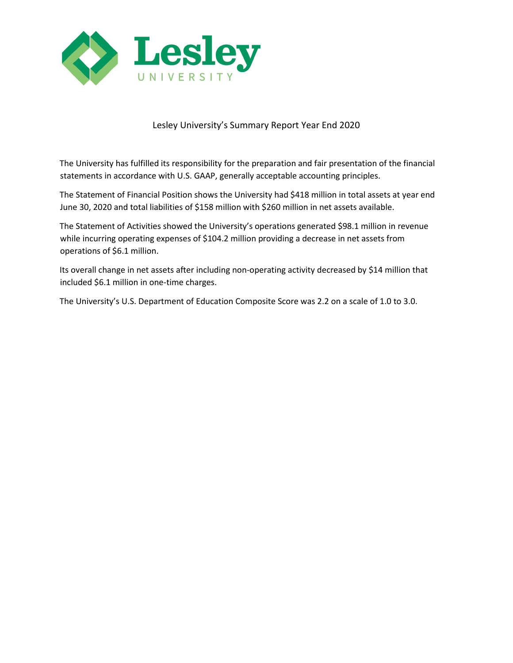

## Lesley University's Summary Report Year End 2020

The University has fulfilled its responsibility for the preparation and fair presentation of the financial statements in accordance with U.S. GAAP, generally acceptable accounting principles.

The Statement of Financial Position shows the University had \$418 million in total assets at year end June 30, 2020 and total liabilities of \$158 million with \$260 million in net assets available.

The Statement of Activities showed the University's operations generated \$98.1 million in revenue while incurring operating expenses of \$104.2 million providing a decrease in net assets from operations of \$6.1 million.

Its overall change in net assets after including non-operating activity decreased by \$14 million that included \$6.1 million in one-time charges.

The University's U.S. Department of Education Composite Score was 2.2 on a scale of 1.0 to 3.0.